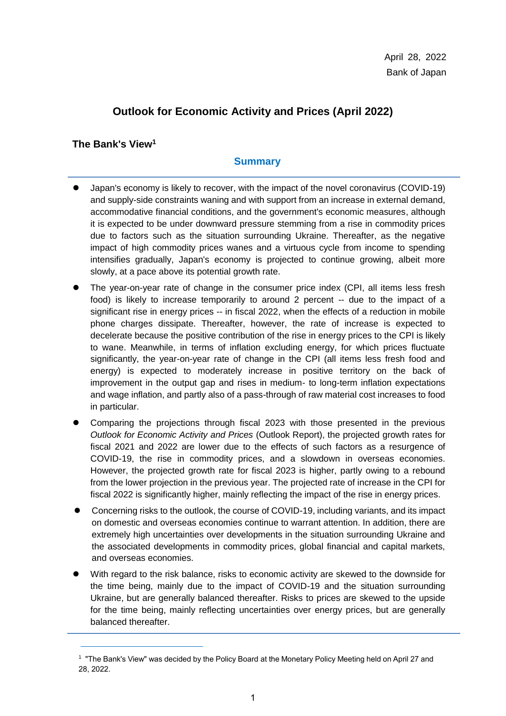# **Outlook for Economic Activity and Prices (April 2022)**

# **The Bank's View<sup>1</sup>**

1

# **Summary**

- Japan's economy is likely to recover, with the impact of the novel coronavirus (COVID-19) and supply-side constraints waning and with support from an increase in external demand, accommodative financial conditions, and the government's economic measures, although it is expected to be under downward pressure stemming from a rise in commodity prices due to factors such as the situation surrounding Ukraine. Thereafter, as the negative impact of high commodity prices wanes and a virtuous cycle from income to spending intensifies gradually, Japan's economy is projected to continue growing, albeit more slowly, at a pace above its potential growth rate.
- The year-on-year rate of change in the consumer price index (CPI, all items less fresh food) is likely to increase temporarily to around 2 percent -- due to the impact of a significant rise in energy prices -- in fiscal 2022, when the effects of a reduction in mobile phone charges dissipate. Thereafter, however, the rate of increase is expected to decelerate because the positive contribution of the rise in energy prices to the CPI is likely to wane. Meanwhile, in terms of inflation excluding energy, for which prices fluctuate significantly, the year-on-year rate of change in the CPI (all items less fresh food and energy) is expected to moderately increase in positive territory on the back of improvement in the output gap and rises in medium- to long-term inflation expectations and wage inflation, and partly also of a pass-through of raw material cost increases to food in particular.
- Comparing the projections through fiscal 2023 with those presented in the previous *Outlook for Economic Activity and Prices* (Outlook Report), the projected growth rates for fiscal 2021 and 2022 are lower due to the effects of such factors as a resurgence of COVID-19, the rise in commodity prices, and a slowdown in overseas economies. However, the projected growth rate for fiscal 2023 is higher, partly owing to a rebound from the lower projection in the previous year. The projected rate of increase in the CPI for fiscal 2022 is significantly higher, mainly reflecting the impact of the rise in energy prices.
- Concerning risks to the outlook, the course of COVID-19, including variants, and its impact on domestic and overseas economies continue to warrant attention. In addition, there are extremely high uncertainties over developments in the situation surrounding Ukraine and the associated developments in commodity prices, global financial and capital markets, and overseas economies.
- With regard to the risk balance, risks to economic activity are skewed to the downside for the time being, mainly due to the impact of COVID-19 and the situation surrounding Ukraine, but are generally balanced thereafter. Risks to prices are skewed to the upside for the time being, mainly reflecting uncertainties over energy prices, but are generally balanced thereafter

<sup>1</sup> "The Bank's View" was decided by the Policy Board at the Monetary Policy Meeting held on April 27 and 28, 2022.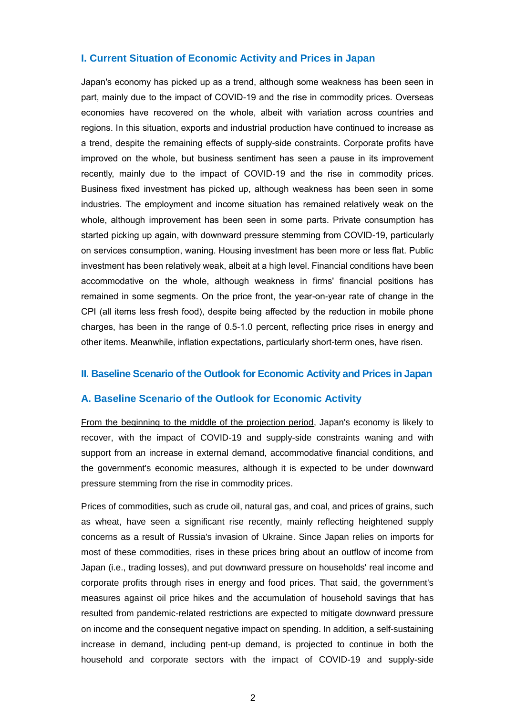#### **I. Current Situation of Economic Activity and Prices in Japan**

Japan's economy has picked up as a trend, although some weakness has been seen in part, mainly due to the impact of COVID-19 and the rise in commodity prices. Overseas economies have recovered on the whole, albeit with variation across countries and regions. In this situation, exports and industrial production have continued to increase as a trend, despite the remaining effects of supply-side constraints. Corporate profits have improved on the whole, but business sentiment has seen a pause in its improvement recently, mainly due to the impact of COVID-19 and the rise in commodity prices. Business fixed investment has picked up, although weakness has been seen in some industries. The employment and income situation has remained relatively weak on the whole, although improvement has been seen in some parts. Private consumption has started picking up again, with downward pressure stemming from COVID-19, particularly on services consumption, waning. Housing investment has been more or less flat. Public investment has been relatively weak, albeit at a high level. Financial conditions have been accommodative on the whole, although weakness in firms' financial positions has remained in some segments. On the price front, the year-on-year rate of change in the CPI (all items less fresh food), despite being affected by the reduction in mobile phone charges, has been in the range of 0.5-1.0 percent, reflecting price rises in energy and other items. Meanwhile, inflation expectations, particularly short-term ones, have risen.

#### **II. Baseline Scenario of the Outlook for Economic Activity and Prices in Japan**

#### **A. Baseline Scenario of the Outlook for Economic Activity**

From the beginning to the middle of the projection period, Japan's economy is likely to recover, with the impact of COVID-19 and supply-side constraints waning and with support from an increase in external demand, accommodative financial conditions, and the government's economic measures, although it is expected to be under downward pressure stemming from the rise in commodity prices.

Prices of commodities, such as crude oil, natural gas, and coal, and prices of grains, such as wheat, have seen a significant rise recently, mainly reflecting heightened supply concerns as a result of Russia's invasion of Ukraine. Since Japan relies on imports for most of these commodities, rises in these prices bring about an outflow of income from Japan (i.e., trading losses), and put downward pressure on households' real income and corporate profits through rises in energy and food prices. That said, the government's measures against oil price hikes and the accumulation of household savings that has resulted from pandemic-related restrictions are expected to mitigate downward pressure on income and the consequent negative impact on spending. In addition, a self-sustaining increase in demand, including pent-up demand, is projected to continue in both the household and corporate sectors with the impact of COVID-19 and supply-side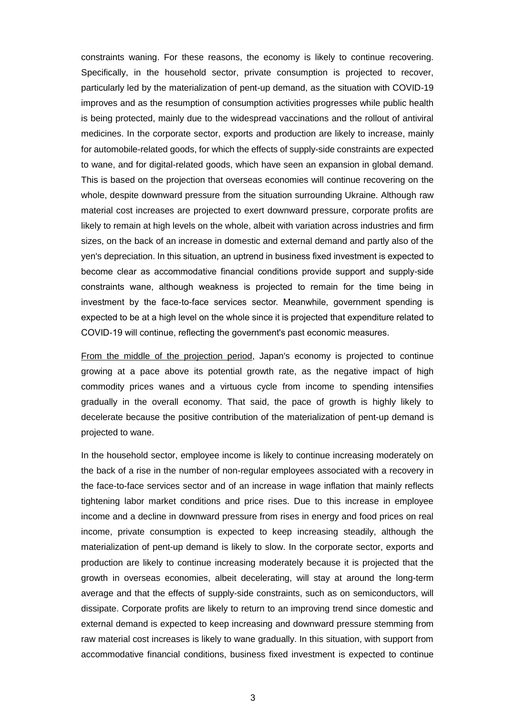constraints waning. For these reasons, the economy is likely to continue recovering. Specifically, in the household sector, private consumption is projected to recover, particularly led by the materialization of pent-up demand, as the situation with COVID-19 improves and as the resumption of consumption activities progresses while public health is being protected, mainly due to the widespread vaccinations and the rollout of antiviral medicines. In the corporate sector, exports and production are likely to increase, mainly for automobile-related goods, for which the effects of supply-side constraints are expected to wane, and for digital-related goods, which have seen an expansion in global demand. This is based on the projection that overseas economies will continue recovering on the whole, despite downward pressure from the situation surrounding Ukraine. Although raw material cost increases are projected to exert downward pressure, corporate profits are likely to remain at high levels on the whole, albeit with variation across industries and firm sizes, on the back of an increase in domestic and external demand and partly also of the yen's depreciation. In this situation, an uptrend in business fixed investment is expected to become clear as accommodative financial conditions provide support and supply-side constraints wane, although weakness is projected to remain for the time being in investment by the face-to-face services sector. Meanwhile, government spending is expected to be at a high level on the whole since it is projected that expenditure related to COVID-19 will continue, reflecting the government's past economic measures.

From the middle of the projection period, Japan's economy is projected to continue growing at a pace above its potential growth rate, as the negative impact of high commodity prices wanes and a virtuous cycle from income to spending intensifies gradually in the overall economy. That said, the pace of growth is highly likely to decelerate because the positive contribution of the materialization of pent-up demand is projected to wane.

In the household sector, employee income is likely to continue increasing moderately on the back of a rise in the number of non-regular employees associated with a recovery in the face-to-face services sector and of an increase in wage inflation that mainly reflects tightening labor market conditions and price rises. Due to this increase in employee income and a decline in downward pressure from rises in energy and food prices on real income, private consumption is expected to keep increasing steadily, although the materialization of pent-up demand is likely to slow. In the corporate sector, exports and production are likely to continue increasing moderately because it is projected that the growth in overseas economies, albeit decelerating, will stay at around the long-term average and that the effects of supply-side constraints, such as on semiconductors, will dissipate. Corporate profits are likely to return to an improving trend since domestic and external demand is expected to keep increasing and downward pressure stemming from raw material cost increases is likely to wane gradually. In this situation, with support from accommodative financial conditions, business fixed investment is expected to continue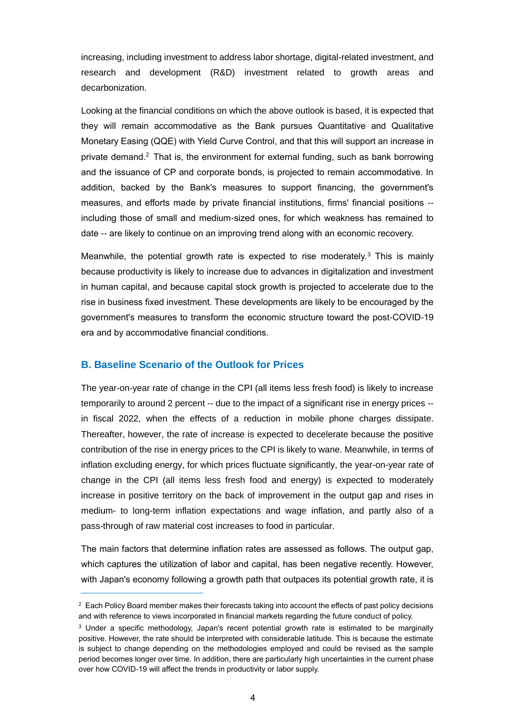increasing, including investment to address labor shortage, digital-related investment, and research and development (R&D) investment related to growth areas and decarbonization.

Looking at the financial conditions on which the above outlook is based, it is expected that they will remain accommodative as the Bank pursues Quantitative and Qualitative Monetary Easing (QQE) with Yield Curve Control, and that this will support an increase in private demand. $2$  That is, the environment for external funding, such as bank borrowing and the issuance of CP and corporate bonds, is projected to remain accommodative. In addition, backed by the Bank's measures to support financing, the government's measures, and efforts made by private financial institutions, firms' financial positions - including those of small and medium-sized ones, for which weakness has remained to date -- are likely to continue on an improving trend along with an economic recovery.

Meanwhile, the potential growth rate is expected to rise moderately.<sup>3</sup> This is mainly because productivity is likely to increase due to advances in digitalization and investment in human capital, and because capital stock growth is projected to accelerate due to the rise in business fixed investment. These developments are likely to be encouraged by the government's measures to transform the economic structure toward the post-COVID-19 era and by accommodative financial conditions.

#### **B. Baseline Scenario of the Outlook for Prices**

1

The year-on-year rate of change in the CPI (all items less fresh food) is likely to increase temporarily to around 2 percent -- due to the impact of a significant rise in energy prices - in fiscal 2022, when the effects of a reduction in mobile phone charges dissipate. Thereafter, however, the rate of increase is expected to decelerate because the positive contribution of the rise in energy prices to the CPI is likely to wane. Meanwhile, in terms of inflation excluding energy, for which prices fluctuate significantly, the year-on-year rate of change in the CPI (all items less fresh food and energy) is expected to moderately increase in positive territory on the back of improvement in the output gap and rises in medium- to long-term inflation expectations and wage inflation, and partly also of a pass-through of raw material cost increases to food in particular.

The main factors that determine inflation rates are assessed as follows. The output gap, which captures the utilization of labor and capital, has been negative recently. However, with Japan's economy following a growth path that outpaces its potential growth rate, it is

 $2$  Each Policy Board member makes their forecasts taking into account the effects of past policy decisions and with reference to views incorporated in financial markets regarding the future conduct of policy.

<sup>&</sup>lt;sup>3</sup> Under a specific methodology, Japan's recent potential growth rate is estimated to be marginally positive. However, the rate should be interpreted with considerable latitude. This is because the estimate is subject to change depending on the methodologies employed and could be revised as the sample period becomes longer over time. In addition, there are particularly high uncertainties in the current phase over how COVID-19 will affect the trends in productivity or labor supply.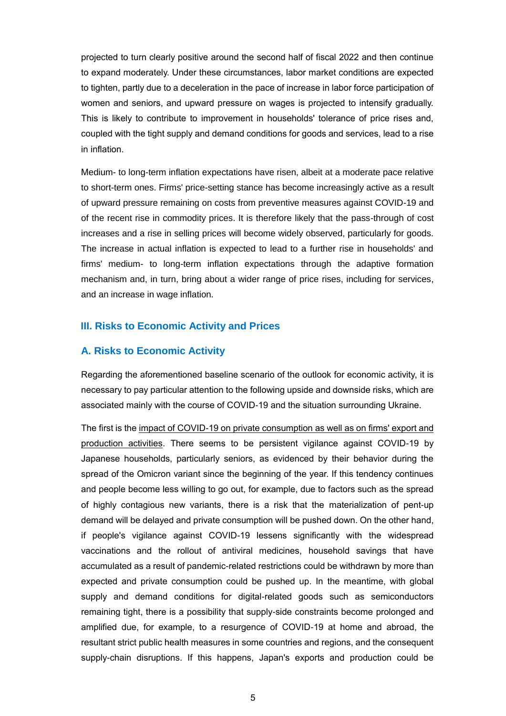projected to turn clearly positive around the second half of fiscal 2022 and then continue to expand moderately. Under these circumstances, labor market conditions are expected to tighten, partly due to a deceleration in the pace of increase in labor force participation of women and seniors, and upward pressure on wages is projected to intensify gradually. This is likely to contribute to improvement in households' tolerance of price rises and, coupled with the tight supply and demand conditions for goods and services, lead to a rise in inflation.

Medium- to long-term inflation expectations have risen, albeit at a moderate pace relative to short-term ones. Firms' price-setting stance has become increasingly active as a result of upward pressure remaining on costs from preventive measures against COVID-19 and of the recent rise in commodity prices. It is therefore likely that the pass-through of cost increases and a rise in selling prices will become widely observed, particularly for goods. The increase in actual inflation is expected to lead to a further rise in households' and firms' medium- to long-term inflation expectations through the adaptive formation mechanism and, in turn, bring about a wider range of price rises, including for services, and an increase in wage inflation.

### **III. Risks to Economic Activity and Prices**

#### **A. Risks to Economic Activity**

Regarding the aforementioned baseline scenario of the outlook for economic activity, it is necessary to pay particular attention to the following upside and downside risks, which are associated mainly with the course of COVID-19 and the situation surrounding Ukraine.

The first is the impact of COVID-19 on private consumption as well as on firms' export and production activities. There seems to be persistent vigilance against COVID-19 by Japanese households, particularly seniors, as evidenced by their behavior during the spread of the Omicron variant since the beginning of the year. If this tendency continues and people become less willing to go out, for example, due to factors such as the spread of highly contagious new variants, there is a risk that the materialization of pent-up demand will be delayed and private consumption will be pushed down. On the other hand, if people's vigilance against COVID-19 lessens significantly with the widespread vaccinations and the rollout of antiviral medicines, household savings that have accumulated as a result of pandemic-related restrictions could be withdrawn by more than expected and private consumption could be pushed up. In the meantime, with global supply and demand conditions for digital-related goods such as semiconductors remaining tight, there is a possibility that supply-side constraints become prolonged and amplified due, for example, to a resurgence of COVID-19 at home and abroad, the resultant strict public health measures in some countries and regions, and the consequent supply-chain disruptions. If this happens, Japan's exports and production could be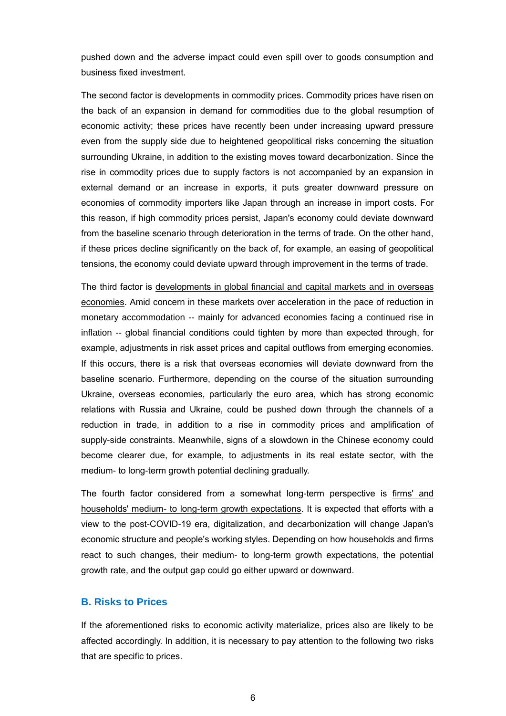pushed down and the adverse impact could even spill over to goods consumption and business fixed investment.

The second factor is developments in commodity prices. Commodity prices have risen on the back of an expansion in demand for commodities due to the global resumption of economic activity; these prices have recently been under increasing upward pressure even from the supply side due to heightened geopolitical risks concerning the situation surrounding Ukraine, in addition to the existing moves toward decarbonization. Since the rise in commodity prices due to supply factors is not accompanied by an expansion in external demand or an increase in exports, it puts greater downward pressure on economies of commodity importers like Japan through an increase in import costs. For this reason, if high commodity prices persist, Japan's economy could deviate downward from the baseline scenario through deterioration in the terms of trade. On the other hand, if these prices decline significantly on the back of, for example, an easing of geopolitical tensions, the economy could deviate upward through improvement in the terms of trade.

The third factor is developments in global financial and capital markets and in overseas economies. Amid concern in these markets over acceleration in the pace of reduction in monetary accommodation -- mainly for advanced economies facing a continued rise in inflation -- global financial conditions could tighten by more than expected through, for example, adjustments in risk asset prices and capital outflows from emerging economies. If this occurs, there is a risk that overseas economies will deviate downward from the baseline scenario. Furthermore, depending on the course of the situation surrounding Ukraine, overseas economies, particularly the euro area, which has strong economic relations with Russia and Ukraine, could be pushed down through the channels of a reduction in trade, in addition to a rise in commodity prices and amplification of supply-side constraints. Meanwhile, signs of a slowdown in the Chinese economy could become clearer due, for example, to adjustments in its real estate sector, with the medium- to long-term growth potential declining gradually.

The fourth factor considered from a somewhat long-term perspective is firms' and households' medium- to long-term growth expectations. It is expected that efforts with a view to the post-COVID-19 era, digitalization, and decarbonization will change Japan's economic structure and people's working styles. Depending on how households and firms react to such changes, their medium- to long-term growth expectations, the potential growth rate, and the output gap could go either upward or downward.

### **B. Risks to Prices**

If the aforementioned risks to economic activity materialize, prices also are likely to be affected accordingly. In addition, it is necessary to pay attention to the following two risks that are specific to prices.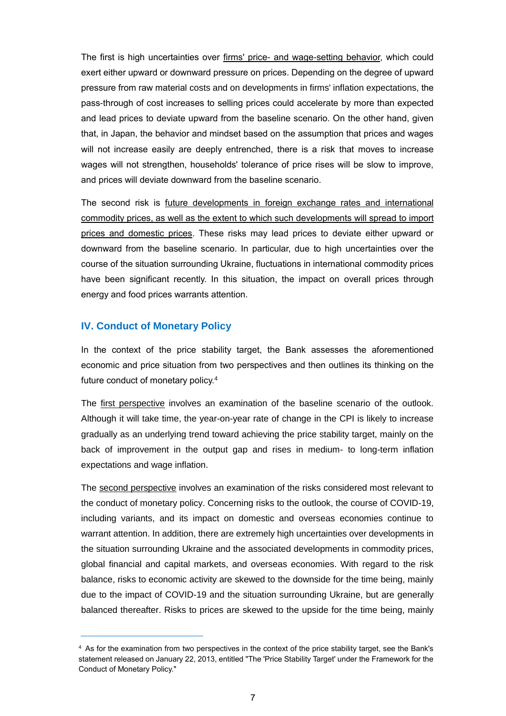The first is high uncertainties over firms' price- and wage-setting behavior, which could exert either upward or downward pressure on prices. Depending on the degree of upward pressure from raw material costs and on developments in firms' inflation expectations, the pass-through of cost increases to selling prices could accelerate by more than expected and lead prices to deviate upward from the baseline scenario. On the other hand, given that, in Japan, the behavior and mindset based on the assumption that prices and wages will not increase easily are deeply entrenched, there is a risk that moves to increase wages will not strengthen, households' tolerance of price rises will be slow to improve, and prices will deviate downward from the baseline scenario.

The second risk is future developments in foreign exchange rates and international commodity prices, as well as the extent to which such developments will spread to import prices and domestic prices. These risks may lead prices to deviate either upward or downward from the baseline scenario. In particular, due to high uncertainties over the course of the situation surrounding Ukraine, fluctuations in international commodity prices have been significant recently. In this situation, the impact on overall prices through energy and food prices warrants attention.

### **IV. Conduct of Monetary Policy**

1

In the context of the price stability target, the Bank assesses the aforementioned economic and price situation from two perspectives and then outlines its thinking on the future conduct of monetary policy.<sup>4</sup>

The first perspective involves an examination of the baseline scenario of the outlook. Although it will take time, the year-on-year rate of change in the CPI is likely to increase gradually as an underlying trend toward achieving the price stability target, mainly on the back of improvement in the output gap and rises in medium- to long-term inflation expectations and wage inflation.

The second perspective involves an examination of the risks considered most relevant to the conduct of monetary policy. Concerning risks to the outlook, the course of COVID-19, including variants, and its impact on domestic and overseas economies continue to warrant attention. In addition, there are extremely high uncertainties over developments in the situation surrounding Ukraine and the associated developments in commodity prices, global financial and capital markets, and overseas economies. With regard to the risk balance, risks to economic activity are skewed to the downside for the time being, mainly due to the impact of COVID-19 and the situation surrounding Ukraine, but are generally balanced thereafter. Risks to prices are skewed to the upside for the time being, mainly

<sup>4</sup> As for the examination from two perspectives in the context of the price stability target, see the Bank's statement released on January 22, 2013, entitled "The 'Price Stability Target' under the Framework for the Conduct of Monetary Policy."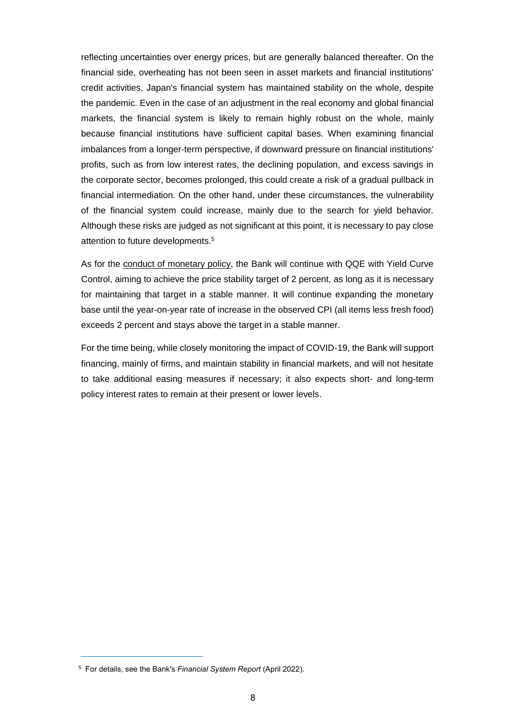reflecting uncertainties over energy prices, but are generally balanced thereafter. On the financial side, overheating has not been seen in asset markets and financial institutions' credit activities. Japan's financial system has maintained stability on the whole, despite the pandemic. Even in the case of an adjustment in the real economy and global financial markets, the financial system is likely to remain highly robust on the whole, mainly because financial institutions have sufficient capital bases. When examining financial imbalances from a longer-term perspective, if downward pressure on financial institutions' profits, such as from low interest rates, the declining population, and excess savings in the corporate sector, becomes prolonged, this could create a risk of a gradual pullback in financial intermediation. On the other hand, under these circumstances, the vulnerability of the financial system could increase, mainly due to the search for yield behavior. Although these risks are judged as not significant at this point, it is necessary to pay close attention to future developments.<sup>5</sup>

As for the conduct of monetary policy, the Bank will continue with QQE with Yield Curve Control, aiming to achieve the price stability target of 2 percent, as long as it is necessary for maintaining that target in a stable manner. It will continue expanding the monetary base until the year-on-year rate of increase in the observed CPI (all items less fresh food) exceeds 2 percent and stays above the target in a stable manner.

For the time being, while closely monitoring the impact of COVID-19, the Bank will support financing, mainly of firms, and maintain stability in financial markets, and will not hesitate to take additional easing measures if necessary; it also expects short- and long-term policy interest rates to remain at their present or lower levels.

1

<sup>5</sup> For details, see the Bank's *Financial System Report* (April 2022).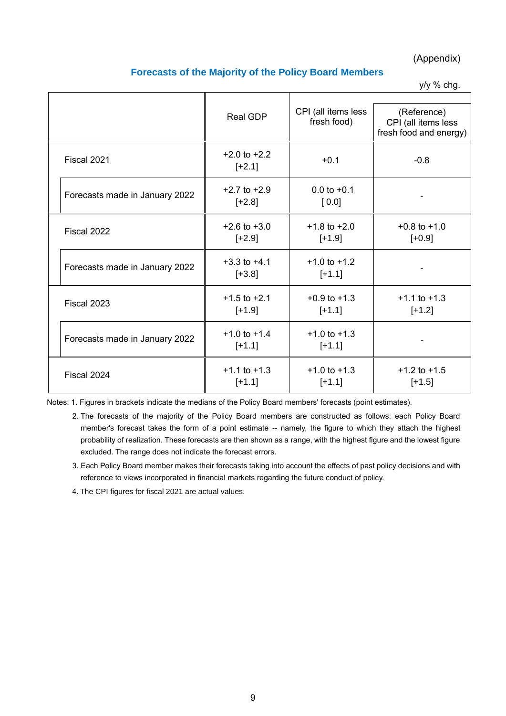(Appendix)

### **Forecasts of the Majority of the Policy Board Members**

y/y % chg.

|                                | Real GDP                     | CPI (all items less<br>fresh food) | (Reference)<br>CPI (all items less<br>fresh food and energy) |
|--------------------------------|------------------------------|------------------------------------|--------------------------------------------------------------|
| Fiscal 2021                    | $+2.0$ to $+2.2$<br>$[-2.1]$ | $+0.1$                             | $-0.8$                                                       |
| Forecasts made in January 2022 | $+2.7$ to $+2.9$<br>$[+2.8]$ | $0.0$ to $+0.1$<br>[0.0]           |                                                              |
| Fiscal 2022                    | $+2.6$ to $+3.0$<br>$[-2.9]$ | $+1.8$ to $+2.0$<br>$[+1.9]$       | $+0.8$ to $+1.0$<br>$[-0.9]$                                 |
| Forecasts made in January 2022 | $+3.3$ to $+4.1$<br>$[-3.8]$ | $+1.0$ to $+1.2$<br>$[+1.1]$       |                                                              |
| Fiscal 2023                    | $+1.5$ to $+2.1$<br>$[+1.9]$ | $+0.9$ to $+1.3$<br>$[+1.1]$       | $+1.1$ to $+1.3$<br>$[+1.2]$                                 |
| Forecasts made in January 2022 | $+1.0$ to $+1.4$<br>$[+1.1]$ | $+1.0$ to $+1.3$<br>$[+1.1]$       |                                                              |
| Fiscal 2024                    | $+1.1$ to $+1.3$<br>$[+1.1]$ | $+1.0$ to $+1.3$<br>$[+1.1]$       | $+1.2$ to $+1.5$<br>$[+1.5]$                                 |

Notes: 1. Figures in brackets indicate the medians of the Policy Board members' forecasts (point estimates).

2. The forecasts of the majority of the Policy Board members are constructed as follows: each Policy Board member's forecast takes the form of a point estimate -- namely, the figure to which they attach the highest probability of realization. These forecasts are then shown as a range, with the highest figure and the lowest figure excluded. The range does not indicate the forecast errors.

3. Each Policy Board member makes their forecasts taking into account the effects of past policy decisions and with reference to views incorporated in financial markets regarding the future conduct of policy.

4. The CPI figures for fiscal 2021 are actual values.